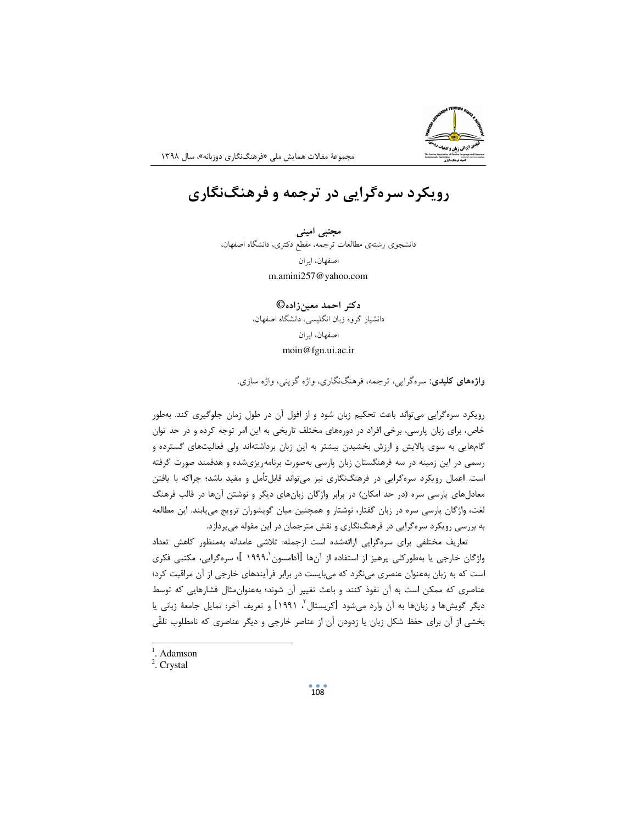

مجموعهٔ مقالات همایش ملی «فرهنگنگاری دوزبانه»، سال ۱۳۹۸

## رویکرد سرهگرایی در ترجمه و فرهنگنگاری

مجتبی امینی دانشجوی رشتهی مطالعات ترجمه، مقطع دکتری، دانشگاه اصفهان، اصفهان، ایران m.amini257@yahoo.com

دکتر احمد معینزاده©

دانشیار گروه زبان انگلیسی، دانشگاه اصفهان،

اصفهان، ايران moin@fgn.ui.ac.ir

**واژههای کلیدی**: سرهگرایی، ترجمه، فرهنگنگاری، واژه گزینی، واژه سازی.

رویکرد سرهگرایی می تواند باعث تحکیم زبان شود و از افول آن در طول زمان جلوگیری کند. بهطور خاص، برای زبان پارسی، برخی افراد در دورههای مختلف تاریخی به این امر توجه کرده و در حد توان گامهایی به سوی پالایش و ارزش بخشیدن بیشتر به این زبان برداشتهاند ولی فعالیتهای گسترده و رسمی در این زمینه در سه فرهنگستان زبان پارسی بهصورت برنامهریزیشده و هدفمند صورت گرفته است. اعمال رویکرد سرهگرایی در فرهنگنگاری نیز میتواند قابلتأمل و مفید باشد؛ چراکه با یافتن معادلهای پارسی سره (در حد امکان) در برابر واژگان زبانهای دیگر و نوشتن آنها در قالب فرهنگ لغت، واژگان پارسی سره در زبان گفتار، نوشتار و همچنین میان گویشوران ترویج می پابند. این مطالعه به بررسی رویکرد سرهگرایی در فرهنگنگاری و نقش مترجمان در این مقوله میپردازد.

تعاریف مختلفی برای سرهگرایی ارائهشده است ازجمله: تلاشی عامدانه بهمنظور کاهش تعداد واژگان خارجی یا بهطورکلی پرهیز از استفاده از آنها [آدامسون '۱۹۹۹، ]؛ سرهگرایی، مکتبی فکری است که به زبان بهعنوان عنصری می نگرد که می بایست در برابر فرآیندهای خارجی از آن مراقبت کرد؛ عناصری که ممکن است به آن نفوذ کنند و باعث تغییر آن شوند؛ بهعنوانِمثال فشارهایی که توسط ديگر گويشها و زبانها به آن وارد ميشود [كريستال $'$ ، ١٩٩١] و تعريف آخر: تمايل جامعهٔ زباني يا بخشی از آن برای حفظ شکل زبان یا زدودن آن از عناصر خارجی و دیگر عناصری که نامطلوب تلقّی

 $<sup>1</sup>$ . Adamson</sup>

<sup>&</sup>lt;sup>2</sup>. Crystal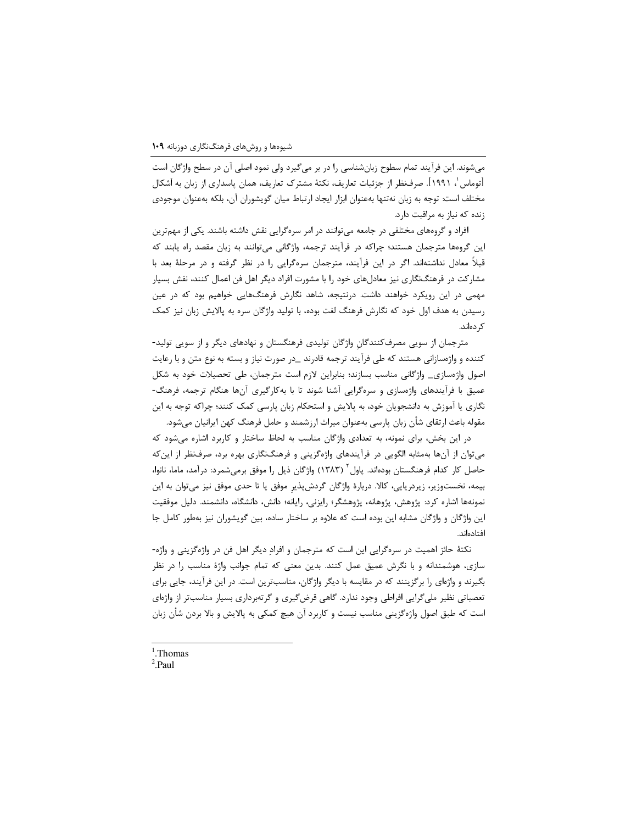میشوند. این فرآیند تمام سطوح زبانشناسی را در بر میگیرد ولی نمود اصلی آن در سطح واژگان است [توماس ٰ، ١٩٩١]. صرفنظر از جزئيات تعاريف، نكتهٔ مشترک تعاريف، همان پاسداري از زبان به اَشكال مختلف است: توجه به زبان نهتنها بهعنوان ابزار ايجاد ارتباط ميان گويشوران آن، بلكه بهعنوان موجودي زنده که نیاز به مراقبت دارد.

افراد و گروههای مختلفی در جامعه می توانند در امر سرهگرایی نقش داشته باشند. یکی از مهمترین این گروهها مترجمان هستند؛ چراکه در فرآیند ترجمه، واژگانی میتوانند به زبان مقصد راه یابند که قبلاً معادل نداشتهاند. اگر در این فرآیند، مترجمان سرهگرایی را در نظر گرفته و در مرحلهٔ بعد با مشارکت در فرهنگنگاری نیز معادلهای خود را با مشورت افراد دیگر اهل فن اعمال کنند، نقش بسیار مهمی در این رویکرد خواهند داشت. درنتیجه، شاهد نگارش فرهنگهایی خواهیم بود که در عین رسیدن به هدف اول خود که نگارش فرهنگ لغت بوده، با تولید واژگان سره به پالایش زبان نیز کمک کر دہاند.

مترجمان از سویی مصرفکنندگان واژگان تولیدی فرهنگستان و نهادهای دیگر و از سویی تولید-کننده و واژهسازانی هستند که طی فرآیند ترجمه قادرند \_در صورت نیاز و بسته به نوع متن و با رعایت اصول واژەسازی\_ واژگانی مناسب بسازند؛ بنابراین لازم است مترجمان، طی تحصیلات خود به شکل عمیق با فرآیندهای واژهسازی و سرهگرایی آشنا شوند تا با بهکارگیری آنها هنگام ترجمه، فرهنگ-نگاری یا آموزش به دانشجویان خود، به پالایش و استحکام زبان پارسی کمک کنند؛ چراکه توجه به این مقوله باعث ارتقاي شأن زبان پارسي بهعنوان ميراث ارزشمند و حامل فرهنگ كهن ايرانيان ميشود.

در این بخش، برای نمونه، به تعدادی واژگان مناسب به لحاظ ساختار و کاربرد اشاره میشود که می توان از آنها بهمثابه الگویی در فرآیندهای واژهگزینی و فرهنگنگاری بهره برد، صرفنظر از این که حاصل کار کدام فرهنگستان بودهاند. پاول ۲۸۳۱) واژگان ذیل را موفق برمیشمرد: درآمد، ماما، نانوا، بیمه، نخستوزیر، زیردریایی، کالا. دربارهٔ واژگان گردشپذیر موفق یا تا حدی موفق نیز میتوان به این نمونهها اشاره کرد: پژوهش، پژوهانه، پژوهشگر؛ رایزنی، رایانه؛ دانش، دانشگاه، دانشمند. دلیل موفقیت این واژگان و واژگان مشابه این بوده است که علاوه بر ساختار ساده، بین گویشوران نیز بهطور کامل جا افتادهاند.

نکتهٔ حائز اهمیت در سرهگرایی این است که مترجمان و افراد دیگر اهل فن در واژهگزینی و واژه-سازی، هوشمندانه و با نگرش عمیق عمل کنند. بدین معنی که تمام جوانب واژهٔ مناسب را در نظر بگیرند و واژهای را برگزینند که در مقایسه با دیگر واژگان، مناسبترین است. در این فرآیند، جایی برای تعصباتی نظیر ملی گرایی افراطی وجود ندارد. گاهی قرض گیری و گر تهبرداری بسیار مناسب تر از واژهای است که طبق اصول واژهگزینی مناسب نیست و کاربرد آن هیچ کمکی به پالایش و بالا بردن شأن زبان

 $1$ . Thomas

 $2$  Paul